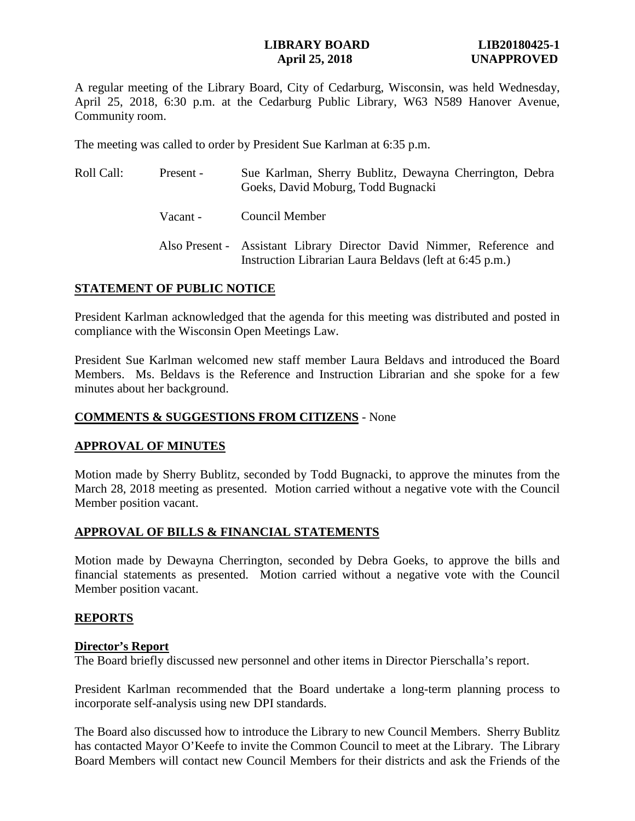#### **LIBRARY BOARD LIB20180425-1 April 25, 2018 UNAPPROVED**

A regular meeting of the Library Board, City of Cedarburg, Wisconsin, was held Wednesday, April 25, 2018, 6:30 p.m. at the Cedarburg Public Library, W63 N589 Hanover Avenue, Community room.

The meeting was called to order by President Sue Karlman at 6:35 p.m.

| Roll Call: | Present - | Sue Karlman, Sherry Bublitz, Dewayna Cherrington, Debra<br>Goeks, David Moburg, Todd Bugnacki                                    |
|------------|-----------|----------------------------------------------------------------------------------------------------------------------------------|
|            | Vacant -  | Council Member                                                                                                                   |
|            |           | Also Present - Assistant Library Director David Nimmer, Reference and<br>Instruction Librarian Laura Beldavs (left at 6:45 p.m.) |

# **STATEMENT OF PUBLIC NOTICE**

President Karlman acknowledged that the agenda for this meeting was distributed and posted in compliance with the Wisconsin Open Meetings Law.

President Sue Karlman welcomed new staff member Laura Beldavs and introduced the Board Members. Ms. Beldavs is the Reference and Instruction Librarian and she spoke for a few minutes about her background.

## **COMMENTS & SUGGESTIONS FROM CITIZENS** - None

#### **APPROVAL OF MINUTES**

Motion made by Sherry Bublitz, seconded by Todd Bugnacki, to approve the minutes from the March 28, 2018 meeting as presented. Motion carried without a negative vote with the Council Member position vacant.

# **APPROVAL OF BILLS & FINANCIAL STATEMENTS**

Motion made by Dewayna Cherrington, seconded by Debra Goeks, to approve the bills and financial statements as presented. Motion carried without a negative vote with the Council Member position vacant.

# **REPORTS**

#### **Director's Report**

The Board briefly discussed new personnel and other items in Director Pierschalla's report.

President Karlman recommended that the Board undertake a long-term planning process to incorporate self-analysis using new DPI standards.

The Board also discussed how to introduce the Library to new Council Members. Sherry Bublitz has contacted Mayor O'Keefe to invite the Common Council to meet at the Library. The Library Board Members will contact new Council Members for their districts and ask the Friends of the